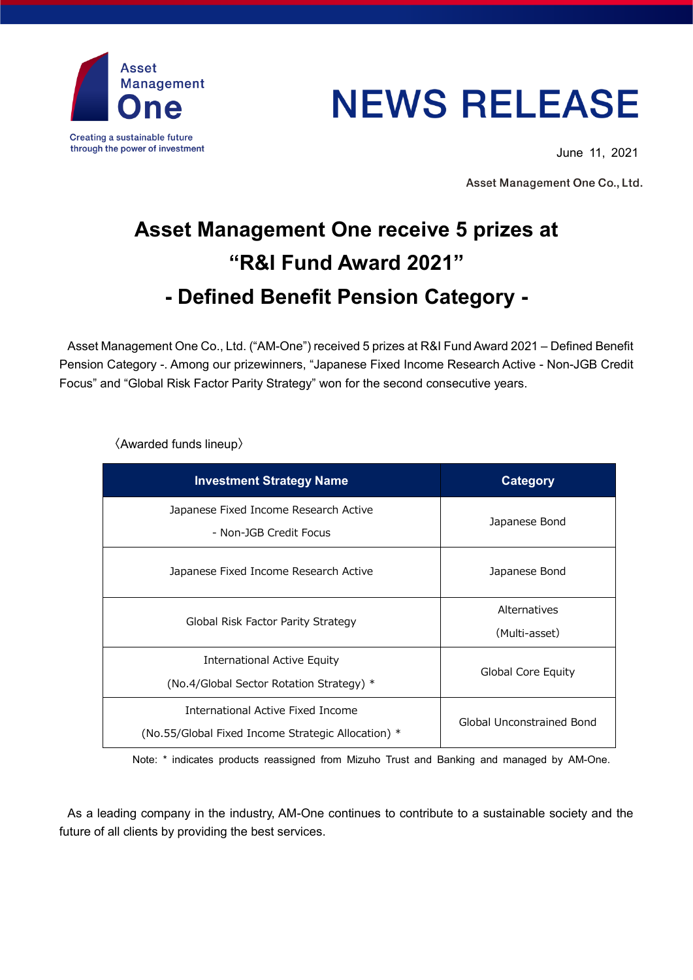

## **NEWS RELEASE**

June 11, 2021

Asset Management One Co., Ltd.

## **Asset Management One receive 5 prizes at "R&I Fund Award 2021" - Defined Benefit Pension Category -**

Asset Management One Co., Ltd. ("AM-One") received 5 prizes at R&I Fund Award 2021 – Defined Benefit Pension Category -. Among our prizewinners, "Japanese Fixed Income Research Active - Non-JGB Credit Focus" and "Global Risk Factor Parity Strategy" won for the second consecutive years. **5 プロダクトが受賞**

〈Awarded funds lineup〉

| <b>Investment Strategy Name</b>                                                         | Category                      |
|-----------------------------------------------------------------------------------------|-------------------------------|
| Japanese Fixed Income Research Active<br>- Non-JGB Credit Focus                         | Japanese Bond                 |
| Japanese Fixed Income Research Active                                                   | Japanese Bond                 |
| Global Risk Factor Parity Strategy                                                      | Alternatives<br>(Multi-asset) |
| International Active Equity<br>(No.4/Global Sector Rotation Strategy) *                 | Global Core Equity            |
| International Active Fixed Income<br>(No.55/Global Fixed Income Strategic Allocation) * | Global Unconstrained Bond     |

Note: \* indicates products reassigned from Mizuho Trust and Banking and managed by AM-One.

As a leading company in the industry, AM-One continues to contribute to a sustainable society and the future of all clients by providing the best services.